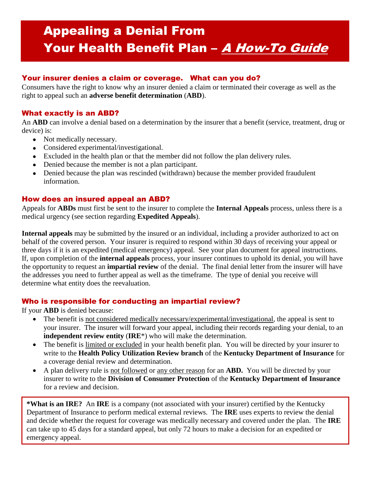# Appealing a Denial From Your Health Benefit Plan - A How-To Guide

# Your insurer denies a claim or coverage. What can you do?

Consumers have the right to know why an insurer denied a claim or terminated their coverage as well as the right to appeal such an **adverse benefit determination** (**ABD**).

# What exactly is an ABD?

An **ABD** can involve a denial based on a determination by the insurer that a benefit (service, treatment, drug or device) is:

- Not medically necessary.
- Considered experimental/investigational.
- Excluded in the health plan or that the member did not follow the plan delivery rules.
- Denied because the member is not a plan participant.
- Denied because the plan was rescinded (withdrawn) because the member provided fraudulent information.

### How does an insured appeal an ABD?

Appeals for **ABDs** must first be sent to the insurer to complete the **Internal Appeals** process, unless there is a medical urgency (see section regarding **Expedited Appeals**).

**Internal appeals** may be submitted by the insured or an individual, including a provider authorized to act on behalf of the covered person. Your insurer is required to respond within 30 days of receiving your appeal or three days if it is an expedited (medical emergency) appeal. See your plan document for appeal instructions. If, upon completion of the **internal appeals** process, your insurer continues to uphold its denial, you will have the opportunity to request an **impartial review** of the denial. The final denial letter from the insurer will have the addresses you need to further appeal as well as the timeframe. The type of denial you receive will determine what entity does the reevaluation.

### Who is responsible for conducting an impartial review?

If your **ABD** is denied because:

- The benefit is not considered medically necessary/experimental/investigational, the appeal is sent to your insurer. The insurer will forward your appeal, including their records regarding your denial, to an **independent review entity** (**IRE**\*) who will make the determination.
- The benefit is limited or excluded in your health benefit plan. You will be directed by your insurer to write to the **Health Policy Utilization Review branch** of the **Kentucky Department of Insurance** for a coverage denial review and determination.
- A plan delivery rule is not followed or any other reason for an **ABD.** You will be directed by your insurer to write to the **Division of Consumer Protection** of the **Kentucky Department of Insurance**  for a review and decision.

**\*What is an IRE?** An **IRE** is a company (not associated with your insurer) certified by the Kentucky Department of Insurance to perform medical external reviews. The **IRE** uses experts to review the denial and decide whether the request for coverage was medically necessary and covered under the plan. The **IRE** can take up to 45 days for a standard appeal, but only 72 hours to make a decision for an expedited or emergency appeal.